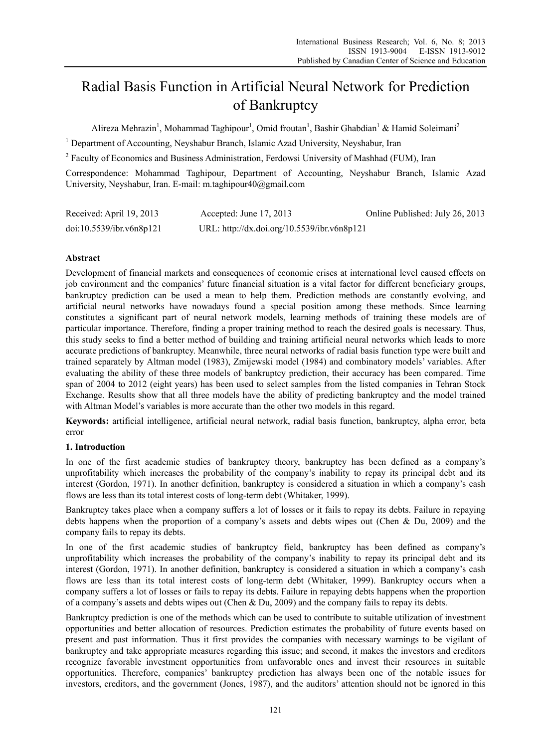# Radial Basis Function in Artificial Neural Network for Prediction of Bankruptcy

Alireza Mehrazin<sup>1</sup>, Mohammad Taghipour<sup>1</sup>, Omid froutan<sup>1</sup>, Bashir Ghabdian<sup>1</sup> & Hamid Soleimani<sup>2</sup>

<sup>1</sup> Department of Accounting, Neyshabur Branch, Islamic Azad University, Neyshabur, Iran

 $2^2$  Faculty of Economics and Business Administration, Ferdowsi University of Mashhad (FUM), Iran

Correspondence: Mohammad Taghipour, Department of Accounting, Neyshabur Branch, Islamic Azad University, Neyshabur, Iran. E-mail: m.taghipour40@gmail.com

| Received: April 19, 2013 | Accepted: June $17, 2013$                   | Online Published: July 26, 2013 |
|--------------------------|---------------------------------------------|---------------------------------|
| doi:10.5539/ibr.v6n8p121 | URL: http://dx.doi.org/10.5539/ibr.v6n8p121 |                                 |

# **Abstract**

Development of financial markets and consequences of economic crises at international level caused effects on job environment and the companies' future financial situation is a vital factor for different beneficiary groups, bankruptcy prediction can be used a mean to help them. Prediction methods are constantly evolving, and artificial neural networks have nowadays found a special position among these methods. Since learning constitutes a significant part of neural network models, learning methods of training these models are of particular importance. Therefore, finding a proper training method to reach the desired goals is necessary. Thus, this study seeks to find a better method of building and training artificial neural networks which leads to more accurate predictions of bankruptcy. Meanwhile, three neural networks of radial basis function type were built and trained separately by Altman model (1983), Zmijewski model (1984) and combinatory models' variables. After evaluating the ability of these three models of bankruptcy prediction, their accuracy has been compared. Time span of 2004 to 2012 (eight years) has been used to select samples from the listed companies in Tehran Stock Exchange. Results show that all three models have the ability of predicting bankruptcy and the model trained with Altman Model's variables is more accurate than the other two models in this regard.

**Keywords:** artificial intelligence, artificial neural network, radial basis function, bankruptcy, alpha error, beta error

## **1. Introduction**

In one of the first academic studies of bankruptcy theory, bankruptcy has been defined as a company's unprofitability which increases the probability of the company's inability to repay its principal debt and its interest (Gordon, 1971). In another definition, bankruptcy is considered a situation in which a company's cash flows are less than its total interest costs of long-term debt (Whitaker, 1999).

Bankruptcy takes place when a company suffers a lot of losses or it fails to repay its debts. Failure in repaying debts happens when the proportion of a company's assets and debts wipes out (Chen & Du, 2009) and the company fails to repay its debts.

In one of the first academic studies of bankruptcy field, bankruptcy has been defined as company's unprofitability which increases the probability of the company's inability to repay its principal debt and its interest (Gordon, 1971). In another definition, bankruptcy is considered a situation in which a company's cash flows are less than its total interest costs of long-term debt (Whitaker, 1999). Bankruptcy occurs when a company suffers a lot of losses or fails to repay its debts. Failure in repaying debts happens when the proportion of a company's assets and debts wipes out (Chen & Du, 2009) and the company fails to repay its debts.

Bankruptcy prediction is one of the methods which can be used to contribute to suitable utilization of investment opportunities and better allocation of resources. Prediction estimates the probability of future events based on present and past information. Thus it first provides the companies with necessary warnings to be vigilant of bankruptcy and take appropriate measures regarding this issue; and second, it makes the investors and creditors recognize favorable investment opportunities from unfavorable ones and invest their resources in suitable opportunities. Therefore, companies' bankruptcy prediction has always been one of the notable issues for investors, creditors, and the government (Jones, 1987), and the auditors' attention should not be ignored in this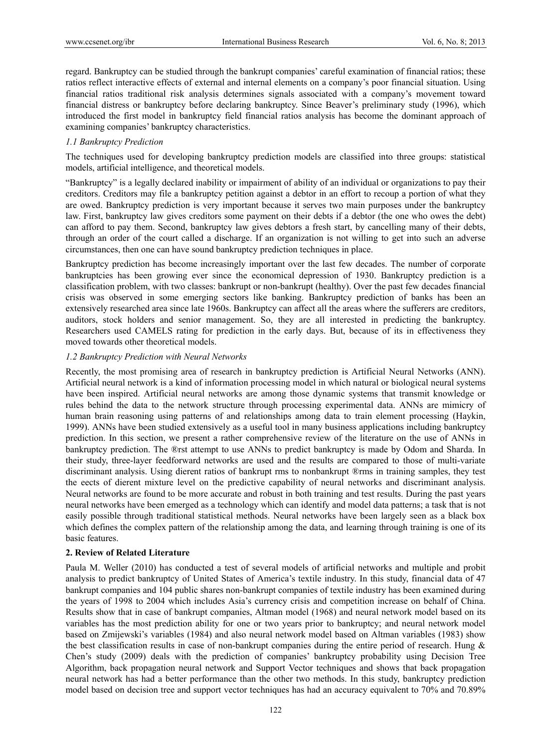regard. Bankruptcy can be studied through the bankrupt companies' careful examination of financial ratios; these ratios reflect interactive effects of external and internal elements on a company's poor financial situation. Using financial ratios traditional risk analysis determines signals associated with a company's movement toward financial distress or bankruptcy before declaring bankruptcy. Since Beaver's preliminary study (1996), which introduced the first model in bankruptcy field financial ratios analysis has become the dominant approach of examining companies' bankruptcy characteristics.

## *1.1 Bankruptcy Prediction*

The techniques used for developing bankruptcy prediction models are classified into three groups: statistical models, artificial intelligence, and theoretical models.

"Bankruptcy" is a legally declared inability or impairment of ability of an individual or organizations to pay their creditors. Creditors may file a bankruptcy petition against a debtor in an effort to recoup a portion of what they are owed. Bankruptcy prediction is very important because it serves two main purposes under the bankruptcy law. First, bankruptcy law gives creditors some payment on their debts if a debtor (the one who owes the debt) can afford to pay them. Second, bankruptcy law gives debtors a fresh start, by cancelling many of their debts, through an order of the court called a discharge. If an organization is not willing to get into such an adverse circumstances, then one can have sound bankruptcy prediction techniques in place.

Bankruptcy prediction has become increasingly important over the last few decades. The number of corporate bankruptcies has been growing ever since the economical depression of 1930. Bankruptcy prediction is a classification problem, with two classes: bankrupt or non-bankrupt (healthy). Over the past few decades financial crisis was observed in some emerging sectors like banking. Bankruptcy prediction of banks has been an extensively researched area since late 1960s. Bankruptcy can affect all the areas where the sufferers are creditors, auditors, stock holders and senior management. So, they are all interested in predicting the bankruptcy. Researchers used CAMELS rating for prediction in the early days. But, because of its in effectiveness they moved towards other theoretical models.

#### *1.2 Bankruptcy Prediction with Neural Networks*

Recently, the most promising area of research in bankruptcy prediction is Artificial Neural Networks (ANN). Artificial neural network is a kind of information processing model in which natural or biological neural systems have been inspired. Artificial neural networks are among those dynamic systems that transmit knowledge or rules behind the data to the network structure through processing experimental data. ANNs are mimicry of human brain reasoning using patterns of and relationships among data to train element processing (Haykin, 1999). ANNs have been studied extensively as a useful tool in many business applications including bankruptcy prediction. In this section, we present a rather comprehensive review of the literature on the use of ANNs in bankruptcy prediction. The ®rst attempt to use ANNs to predict bankruptcy is made by Odom and Sharda. In their study, three-layer feedforward networks are used and the results are compared to those of multi-variate discriminant analysis. Using dierent ratios of bankrupt rms to nonbankrupt ®rms in training samples, they test the eects of dierent mixture level on the predictive capability of neural networks and discriminant analysis. Neural networks are found to be more accurate and robust in both training and test results. During the past years neural networks have been emerged as a technology which can identify and model data patterns; a task that is not easily possible through traditional statistical methods. Neural networks have been largely seen as a black box which defines the complex pattern of the relationship among the data, and learning through training is one of its basic features.

# **2. Review of Related Literature**

Paula M. Weller (2010) has conducted a test of several models of artificial networks and multiple and probit analysis to predict bankruptcy of United States of America's textile industry. In this study, financial data of 47 bankrupt companies and 104 public shares non-bankrupt companies of textile industry has been examined during the years of 1998 to 2004 which includes Asia's currency crisis and competition increase on behalf of China. Results show that in case of bankrupt companies, Altman model (1968) and neural network model based on its variables has the most prediction ability for one or two years prior to bankruptcy; and neural network model based on Zmijewski's variables (1984) and also neural network model based on Altman variables (1983) show the best classification results in case of non-bankrupt companies during the entire period of research. Hung & Chen's study (2009) deals with the prediction of companies' bankruptcy probability using Decision Tree Algorithm, back propagation neural network and Support Vector techniques and shows that back propagation neural network has had a better performance than the other two methods. In this study, bankruptcy prediction model based on decision tree and support vector techniques has had an accuracy equivalent to 70% and 70.89%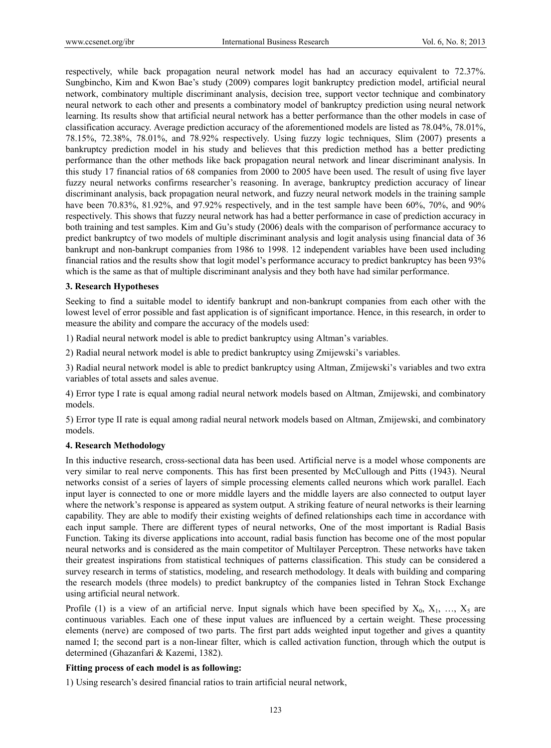respectively, while back propagation neural network model has had an accuracy equivalent to 72.37%. Sungbincho, Kim and Kwon Bae's study (2009) compares logit bankruptcy prediction model, artificial neural network, combinatory multiple discriminant analysis, decision tree, support vector technique and combinatory neural network to each other and presents a combinatory model of bankruptcy prediction using neural network learning. Its results show that artificial neural network has a better performance than the other models in case of classification accuracy. Average prediction accuracy of the aforementioned models are listed as 78.04%, 78.01%, 78.15%, 72.38%, 78.01%, and 78.92% respectively. Using fuzzy logic techniques, Slim (2007) presents a bankruptcy prediction model in his study and believes that this prediction method has a better predicting performance than the other methods like back propagation neural network and linear discriminant analysis. In this study 17 financial ratios of 68 companies from 2000 to 2005 have been used. The result of using five layer fuzzy neural networks confirms researcher's reasoning. In average, bankruptcy prediction accuracy of linear discriminant analysis, back propagation neural network, and fuzzy neural network models in the training sample have been 70.83%, 81.92%, and 97.92% respectively, and in the test sample have been 60%, 70%, and 90% respectively. This shows that fuzzy neural network has had a better performance in case of prediction accuracy in both training and test samples. Kim and Gu's study (2006) deals with the comparison of performance accuracy to predict bankruptcy of two models of multiple discriminant analysis and logit analysis using financial data of 36 bankrupt and non-bankrupt companies from 1986 to 1998. 12 independent variables have been used including financial ratios and the results show that logit model's performance accuracy to predict bankruptcy has been 93% which is the same as that of multiple discriminant analysis and they both have had similar performance.

#### **3. Research Hypotheses**

Seeking to find a suitable model to identify bankrupt and non-bankrupt companies from each other with the lowest level of error possible and fast application is of significant importance. Hence, in this research, in order to measure the ability and compare the accuracy of the models used:

1) Radial neural network model is able to predict bankruptcy using Altman's variables.

2) Radial neural network model is able to predict bankruptcy using Zmijewski's variables.

3) Radial neural network model is able to predict bankruptcy using Altman, Zmijewski's variables and two extra variables of total assets and sales avenue.

4) Error type I rate is equal among radial neural network models based on Altman, Zmijewski, and combinatory models.

5) Error type II rate is equal among radial neural network models based on Altman, Zmijewski, and combinatory models.

#### **4. Research Methodology**

In this inductive research, cross-sectional data has been used. Artificial nerve is a model whose components are very similar to real nerve components. This has first been presented by McCullough and Pitts (1943). Neural networks consist of a series of layers of simple processing elements called neurons which work parallel. Each input layer is connected to one or more middle layers and the middle layers are also connected to output layer where the network's response is appeared as system output. A striking feature of neural networks is their learning capability. They are able to modify their existing weights of defined relationships each time in accordance with each input sample. There are different types of neural networks, One of the most important is Radial Basis Function. Taking its diverse applications into account, radial basis function has become one of the most popular neural networks and is considered as the main competitor of Multilayer Perceptron. These networks have taken their greatest inspirations from statistical techniques of patterns classification. This study can be considered a survey research in terms of statistics, modeling, and research methodology. It deals with building and comparing the research models (three models) to predict bankruptcy of the companies listed in Tehran Stock Exchange using artificial neural network.

Profile (1) is a view of an artificial nerve. Input signals which have been specified by  $X_0, X_1, ..., X_5$  are continuous variables. Each one of these input values are influenced by a certain weight. These processing elements (nerve) are composed of two parts. The first part adds weighted input together and gives a quantity named I; the second part is a non-linear filter, which is called activation function, through which the output is determined (Ghazanfari & Kazemi, 1382).

#### **Fitting process of each model is as following:**

1) Using research's desired financial ratios to train artificial neural network,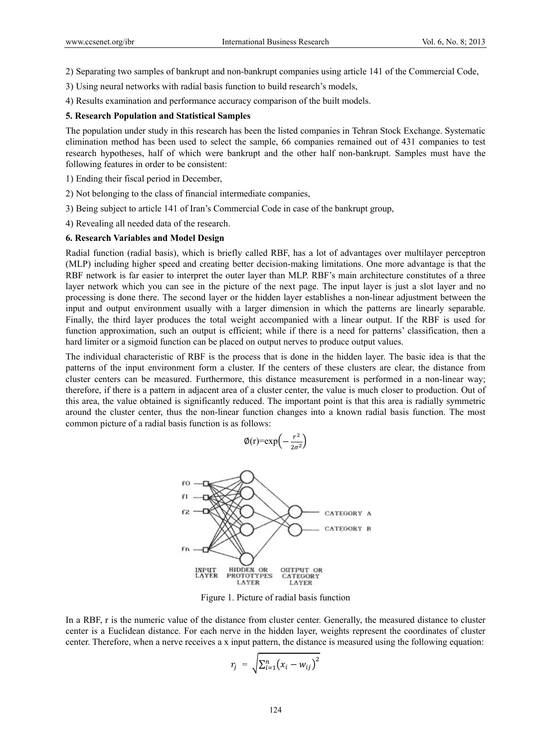2) Separating two samples of bankrupt and non-bankrupt companies using article 141 of the Commercial Code,

- 3) Using neural networks with radial basis function to build research's models,
- 4) Results examination and performance accuracy comparison of the built models.

#### **5. Research Population and Statistical Samples**

The population under study in this research has been the listed companies in Tehran Stock Exchange. Systematic elimination method has been used to select the sample, 66 companies remained out of 431 companies to test research hypotheses, half of which were bankrupt and the other half non-bankrupt. Samples must have the following features in order to be consistent:

1) Ending their fiscal period in December,

- 2) Not belonging to the class of financial intermediate companies,
- 3) Being subject to article 141 of Iran's Commercial Code in case of the bankrupt group,

4) Revealing all needed data of the research.

#### **6. Research Variables and Model Design**

Radial function (radial basis), which is briefly called RBF, has a lot of advantages over multilayer perceptron (MLP) including higher speed and creating better decision-making limitations. One more advantage is that the RBF network is far easier to interpret the outer layer than MLP. RBF's main architecture constitutes of a three layer network which you can see in the picture of the next page. The input layer is just a slot layer and no processing is done there. The second layer or the hidden layer establishes a non-linear adjustment between the input and output environment usually with a larger dimension in which the patterns are linearly separable. Finally, the third layer produces the total weight accompanied with a linear output. If the RBF is used for function approximation, such an output is efficient; while if there is a need for patterns' classification, then a hard limiter or a sigmoid function can be placed on output nerves to produce output values.

The individual characteristic of RBF is the process that is done in the hidden layer. The basic idea is that the patterns of the input environment form a cluster. If the centers of these clusters are clear, the distance from cluster centers can be measured. Furthermore, this distance measurement is performed in a non-linear way; therefore, if there is a pattern in adjacent area of a cluster center, the value is much closer to production. Out of this area, the value obtained is significantly reduced. The important point is that this area is radially symmetric around the cluster center, thus the non-linear function changes into a known radial basis function. The most common picture of a radial basis function is as follows:

$$
\varphi(r) = \exp\left(-\frac{r^2}{2\sigma^2}\right)
$$



Figure 1. Picture of radial basis function

In a RBF, r is the numeric value of the distance from cluster center. Generally, the measured distance to cluster center is a Euclidean distance. For each nerve in the hidden layer, weights represent the coordinates of cluster center. Therefore, when a nerve receives a x input pattern, the distance is measured using the following equation:

$$
r_j = \sqrt{\sum_{i=1}^n (x_i - w_{ij})^2}
$$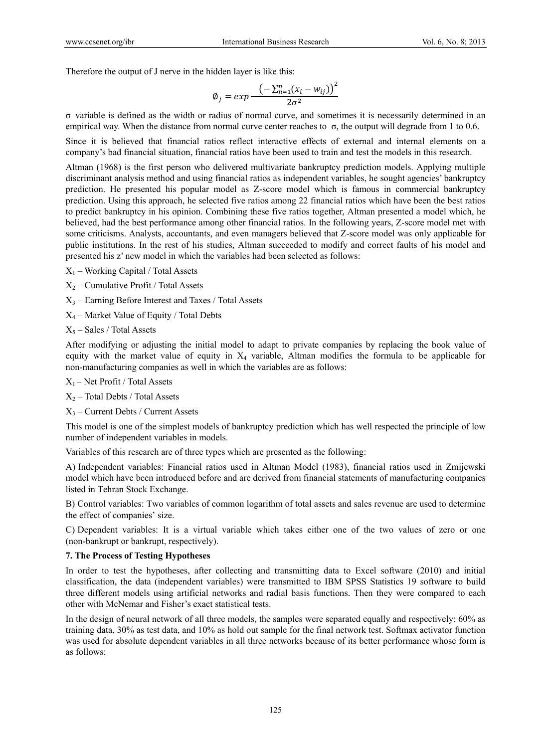Therefore the output of J nerve in the hidden layer is like this:

$$
\emptyset_j = exp \frac{\left(-\sum_{n=1}^{n} (x_i - w_{ij})\right)^2}{2\sigma^2}
$$

σ variable is defined as the width or radius of normal curve, and sometimes it is necessarily determined in an empirical way. When the distance from normal curve center reaches to  $\sigma$ , the output will degrade from 1 to 0.6.

Since it is believed that financial ratios reflect interactive effects of external and internal elements on a company's bad financial situation, financial ratios have been used to train and test the models in this research.

Altman (1968) is the first person who delivered multivariate bankruptcy prediction models. Applying multiple discriminant analysis method and using financial ratios as independent variables, he sought agencies' bankruptcy prediction. He presented his popular model as Z-score model which is famous in commercial bankruptcy prediction. Using this approach, he selected five ratios among 22 financial ratios which have been the best ratios to predict bankruptcy in his opinion. Combining these five ratios together, Altman presented a model which, he believed, had the best performance among other financial ratios. In the following years, Z-score model met with some criticisms. Analysts, accountants, and even managers believed that Z-score model was only applicable for public institutions. In the rest of his studies, Altman succeeded to modify and correct faults of his model and presented his z' new model in which the variables had been selected as follows:

 $X_1$  – Working Capital / Total Assets

 $X_2$  – Cumulative Profit / Total Assets

 $X_3$  – Earning Before Interest and Taxes / Total Assets

 $X_4$  – Market Value of Equity / Total Debts

$$
X_5
$$
 – Sales / Total Assets

After modifying or adjusting the initial model to adapt to private companies by replacing the book value of equity with the market value of equity in  $X_4$  variable, Altman modifies the formula to be applicable for non-manufacturing companies as well in which the variables are as follows:

 $X_1$  – Net Profit / Total Assets

 $X_2$  – Total Debts / Total Assets

 $X_3$  – Current Debts / Current Assets

This model is one of the simplest models of bankruptcy prediction which has well respected the principle of low number of independent variables in models.

Variables of this research are of three types which are presented as the following:

A) Independent variables: Financial ratios used in Altman Model (1983), financial ratios used in Zmijewski model which have been introduced before and are derived from financial statements of manufacturing companies listed in Tehran Stock Exchange.

B) Control variables: Two variables of common logarithm of total assets and sales revenue are used to determine the effect of companies' size.

C) Dependent variables: It is a virtual variable which takes either one of the two values of zero or one (non-bankrupt or bankrupt, respectively).

#### **7. The Process of Testing Hypotheses**

In order to test the hypotheses, after collecting and transmitting data to Excel software (2010) and initial classification, the data (independent variables) were transmitted to IBM SPSS Statistics 19 software to build three different models using artificial networks and radial basis functions. Then they were compared to each other with McNemar and Fisher's exact statistical tests.

In the design of neural network of all three models, the samples were separated equally and respectively: 60% as training data, 30% as test data, and 10% as hold out sample for the final network test. Softmax activator function was used for absolute dependent variables in all three networks because of its better performance whose form is as follows: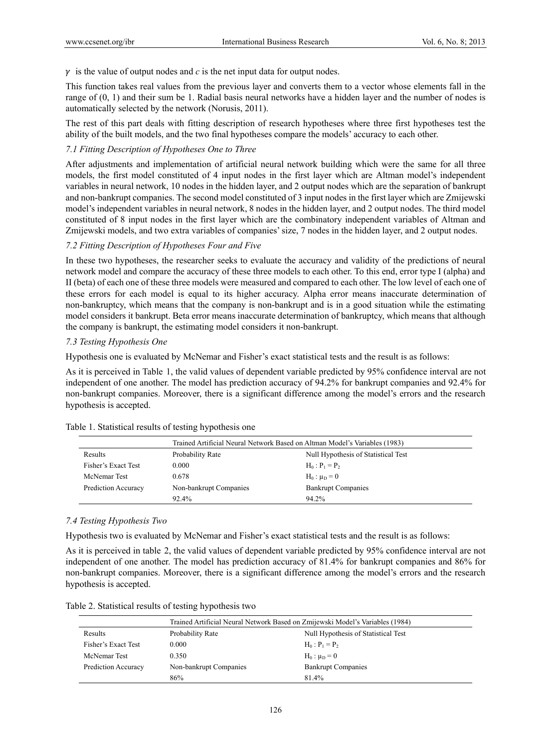## $\gamma$  is the value of output nodes and *c* is the net input data for output nodes.

This function takes real values from the previous layer and converts them to a vector whose elements fall in the range of (0, 1) and their sum be 1. Radial basis neural networks have a hidden layer and the number of nodes is automatically selected by the network (Norusis, 2011).

The rest of this part deals with fitting description of research hypotheses where three first hypotheses test the ability of the built models, and the two final hypotheses compare the models' accuracy to each other.

## *7.1 Fitting Description of Hypotheses One to Three*

After adjustments and implementation of artificial neural network building which were the same for all three models, the first model constituted of 4 input nodes in the first layer which are Altman model's independent variables in neural network, 10 nodes in the hidden layer, and 2 output nodes which are the separation of bankrupt and non-bankrupt companies. The second model constituted of 3 input nodes in the first layer which are Zmijewski model's independent variables in neural network, 8 nodes in the hidden layer, and 2 output nodes. The third model constituted of 8 input nodes in the first layer which are the combinatory independent variables of Altman and Zmijewski models, and two extra variables of companies' size, 7 nodes in the hidden layer, and 2 output nodes.

## *7.2 Fitting Description of Hypotheses Four and Five*

In these two hypotheses, the researcher seeks to evaluate the accuracy and validity of the predictions of neural network model and compare the accuracy of these three models to each other. To this end, error type I (alpha) and II (beta) of each one of these three models were measured and compared to each other. The low level of each one of these errors for each model is equal to its higher accuracy. Alpha error means inaccurate determination of non-bankruptcy, which means that the company is non-bankrupt and is in a good situation while the estimating model considers it bankrupt. Beta error means inaccurate determination of bankruptcy, which means that although the company is bankrupt, the estimating model considers it non-bankrupt.

## *7.3 Testing Hypothesis One*

Hypothesis one is evaluated by McNemar and Fisher's exact statistical tests and the result is as follows:

As it is perceived in Table 1, the valid values of dependent variable predicted by 95% confidence interval are not independent of one another. The model has prediction accuracy of 94.2% for bankrupt companies and 92.4% for non-bankrupt companies. Moreover, there is a significant difference among the model's errors and the research hypothesis is accepted.

| Trained Artificial Neural Network Based on Altman Model's Variables (1983) |                        |                                     |  |  |
|----------------------------------------------------------------------------|------------------------|-------------------------------------|--|--|
| Results                                                                    | Probability Rate       | Null Hypothesis of Statistical Test |  |  |
| Fisher's Exact Test                                                        | 0.000                  | $H_0$ : $P_1 = P_2$                 |  |  |
| McNemar Test                                                               | 0.678                  | $H_0$ : $\mu_D = 0$                 |  |  |
| Prediction Accuracy                                                        | Non-bankrupt Companies | <b>Bankrupt Companies</b>           |  |  |
|                                                                            | 92.4%                  | 94.2%                               |  |  |

#### Table 1. Statistical results of testing hypothesis one

# *7.4 Testing Hypothesis Two*

Hypothesis two is evaluated by McNemar and Fisher's exact statistical tests and the result is as follows:

As it is perceived in table 2, the valid values of dependent variable predicted by 95% confidence interval are not independent of one another. The model has prediction accuracy of 81.4% for bankrupt companies and 86% for non-bankrupt companies. Moreover, there is a significant difference among the model's errors and the research hypothesis is accepted.

Table 2. Statistical results of testing hypothesis two

| Trained Artificial Neural Network Based on Zmijewski Model's Variables (1984) |                        |                                     |  |
|-------------------------------------------------------------------------------|------------------------|-------------------------------------|--|
| Results                                                                       | Probability Rate       | Null Hypothesis of Statistical Test |  |
| Fisher's Exact Test                                                           | 0.000                  | $H_0$ : $P_1 = P_2$                 |  |
| McNemar Test                                                                  | 0.350                  | $H_0$ : $\mu_D = 0$                 |  |
| Prediction Accuracy                                                           | Non-bankrupt Companies | <b>Bankrupt Companies</b>           |  |
|                                                                               | 86%                    | 81.4%                               |  |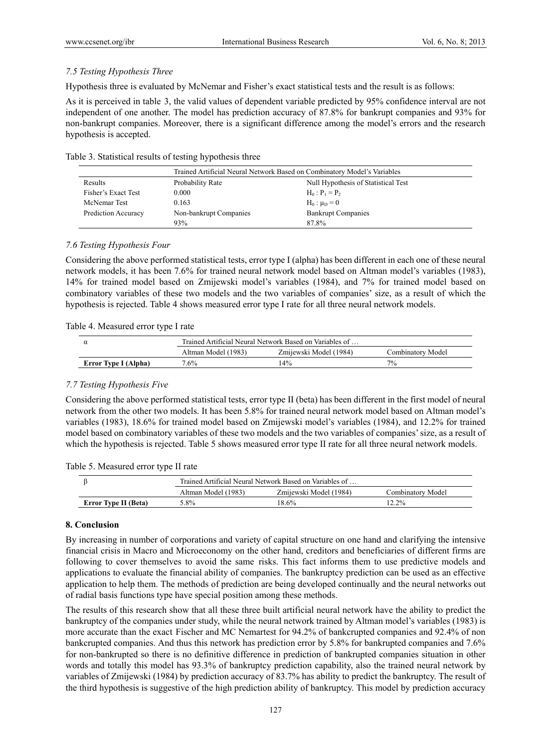# *7.5 Testing Hypothesis Three*

Hypothesis three is evaluated by McNemar and Fisher's exact statistical tests and the result is as follows:

As it is perceived in table 3, the valid values of dependent variable predicted by 95% confidence interval are not independent of one another. The model has prediction accuracy of 87.8% for bankrupt companies and 93% for non-bankrupt companies. Moreover, there is a significant difference among the model's errors and the research hypothesis is accepted.

Table 3. Statistical results of testing hypothesis three

| Trained Artificial Neural Network Based on Combinatory Model's Variables |                        |                                     |
|--------------------------------------------------------------------------|------------------------|-------------------------------------|
| Results                                                                  | Probability Rate       | Null Hypothesis of Statistical Test |
| Fisher's Exact Test                                                      | 0.000                  | $H_0$ : $P_1 = P_2$                 |
| McNemar Test                                                             | 0.163                  | $H_0: \mu_D = 0$                    |
| Prediction Accuracy                                                      | Non-bankrupt Companies | <b>Bankrupt Companies</b>           |
|                                                                          | 93%                    | 87.8%                               |

## *7.6 Testing Hypothesis Four*

Considering the above performed statistical tests, error type I (alpha) has been different in each one of these neural network models, it has been 7.6% for trained neural network model based on Altman model's variables (1983), 14% for trained model based on Zmijewski model's variables (1984), and 7% for trained model based on combinatory variables of these two models and the two variables of companies' size, as a result of which the hypothesis is rejected. Table 4 shows measured error type I rate for all three neural network models.

## Table 4. Measured error type I rate

|                      | Trained Artificial Neural Network Based on Variables of |                        |                   |
|----------------------|---------------------------------------------------------|------------------------|-------------------|
|                      | Altman Model (1983)                                     | Zmijewski Model (1984) | Combinatory Model |
| Error Type I (Alpha) | $7.6\%$                                                 | $4\%$                  | $7\%$             |

# *7.7 Testing Hypothesis Five*

Considering the above performed statistical tests, error type II (beta) has been different in the first model of neural network from the other two models. It has been 5.8% for trained neural network model based on Altman model's variables (1983), 18.6% for trained model based on Zmijewski model's variables (1984), and 12.2% for trained model based on combinatory variables of these two models and the two variables of companies' size, as a result of which the hypothesis is rejected. Table 5 shows measured error type II rate for all three neural network models.

Table 5. Measured error type II rate

|                             | Trained Artificial Neural Network Based on Variables of |                        |                   |
|-----------------------------|---------------------------------------------------------|------------------------|-------------------|
|                             | Altman Model (1983)                                     | Zmijewski Model (1984) | Combinatory Model |
| <b>Error Type II (Beta)</b> | $8\%$                                                   | $18.6\%$               | $12.2\%$          |

# **8. Conclusion**

By increasing in number of corporations and variety of capital structure on one hand and clarifying the intensive financial crisis in Macro and Microeconomy on the other hand, creditors and beneficiaries of different firms are following to cover themselves to avoid the same risks. This fact informs them to use predictive models and applications to evaluate the financial ability of companies. The bankruptcy prediction can be used as an effective application to help them. The methods of prediction are being developed continually and the neural networks out of radial basis functions type have special position among these methods.

The results of this research show that all these three built artificial neural network have the ability to predict the bankruptcy of the companies under study, while the neural network trained by Altman model's variables (1983) is more accurate than the exact Fischer and MC Nemartest for 94.2% of bankcrupted companies and 92.4% of non bankcrupted companies. And thus this network has prediction error by 5.8% for bankrupted companies and 7.6% for non-bankrupted so there is no definitive difference in prediction of bankrupted companies situation in other words and totally this model has 93.3% of bankruptcy prediction capability, also the trained neural network by variables of Zmijewski (1984) by prediction accuracy of 83.7% has ability to predict the bankruptcy. The result of the third hypothesis is suggestive of the high prediction ability of bankruptcy. This model by prediction accuracy